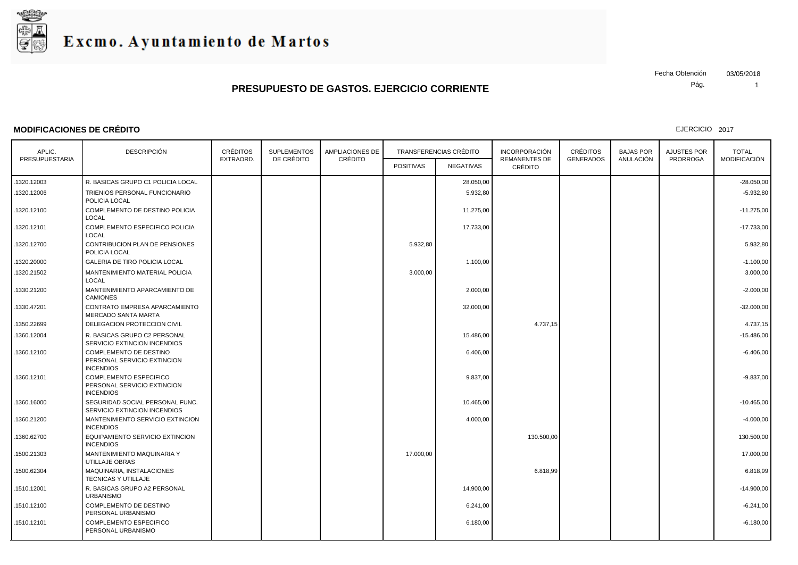

### **MODIFICACIONES DE CRÉDITO**

Pág. Fecha Obtención 03/05/2018

1

| APLIC.         | <b>DESCRIPCIÓN</b>                                                               | <b>CRÉDITOS</b> | <b>SUPLEMENTOS</b> | <b>AMPLIACIONES DE</b> | <b>TRANSFERENCIAS CRÉDITO</b> |           | <b>INCORPORACIÓN</b><br><b>REMANENTES DE</b> | <b>CRÉDITOS</b>  | <b>BAJAS POR</b> | <b>AJUSTES POR</b> | <b>TOTAL</b>        |
|----------------|----------------------------------------------------------------------------------|-----------------|--------------------|------------------------|-------------------------------|-----------|----------------------------------------------|------------------|------------------|--------------------|---------------------|
| PRESUPUESTARIA |                                                                                  | EXTRAORD.       | DE CRÉDITO         | CRÉDITO                | <b>POSITIVAS</b>              | NEGATIVAS | CRÉDITO                                      | <b>GENERADOS</b> | ANULACIÓN        | <b>PRORROGA</b>    | <b>MODIFICACIÓN</b> |
| .1320.12003    | R. BASICAS GRUPO C1 POLICIA LOCAL                                                |                 |                    |                        |                               | 28.050,00 |                                              |                  |                  |                    | $-28.050,00$        |
| 1320.12006     | TRIENIOS PERSONAL FUNCIONARIO<br>POLICIA LOCAL                                   |                 |                    |                        |                               | 5.932,80  |                                              |                  |                  |                    | $-5.932,80$         |
| 1320.12100     | COMPLEMENTO DE DESTINO POLICIA<br><b>LOCAL</b>                                   |                 |                    |                        |                               | 11.275,00 |                                              |                  |                  |                    | $-11.275,00$        |
| .1320.12101    | COMPLEMENTO ESPECIFICO POLICIA<br>LOCAL                                          |                 |                    |                        |                               | 17.733,00 |                                              |                  |                  |                    | $-17.733,00$        |
| .1320.12700    | CONTRIBUCION PLAN DE PENSIONES<br>POLICIA LOCAL                                  |                 |                    |                        | 5.932,80                      |           |                                              |                  |                  |                    | 5.932,80            |
| 1320.20000     | GALERIA DE TIRO POLICIA LOCAL                                                    |                 |                    |                        |                               | 1.100,00  |                                              |                  |                  |                    | $-1.100,00$         |
| .1320.21502    | MANTENIMIENTO MATERIAL POLICIA<br>LOCAL                                          |                 |                    |                        | 3.000,00                      |           |                                              |                  |                  |                    | 3.000,00            |
| 1330.21200     | MANTENIMIENTO APARCAMIENTO DE<br><b>CAMIONES</b>                                 |                 |                    |                        |                               | 2.000,00  |                                              |                  |                  |                    | $-2.000,00$         |
| 1330.47201     | CONTRATO EMPRESA APARCAMIENTO<br>MERCADO SANTA MARTA                             |                 |                    |                        |                               | 32.000,00 |                                              |                  |                  |                    | $-32.000,00$        |
| 1350.22699     | DELEGACION PROTECCION CIVIL                                                      |                 |                    |                        |                               |           | 4.737,15                                     |                  |                  |                    | 4.737,15            |
| 1360.12004     | R. BASICAS GRUPO C2 PERSONAL<br>SERVICIO EXTINCION INCENDIOS                     |                 |                    |                        |                               | 15.486,00 |                                              |                  |                  |                    | $-15.486,00$        |
| 1360.12100     | <b>COMPLEMENTO DE DESTINO</b><br>PERSONAL SERVICIO EXTINCION<br><b>INCENDIOS</b> |                 |                    |                        |                               | 6.406,00  |                                              |                  |                  |                    | $-6.406,00$         |
| 1360.12101     | COMPLEMENTO ESPECIFICO<br>PERSONAL SERVICIO EXTINCION<br><b>INCENDIOS</b>        |                 |                    |                        |                               | 9.837,00  |                                              |                  |                  |                    | $-9.837,00$         |
| .1360.16000    | SEGURIDAD SOCIAL PERSONAL FUNC.<br>SERVICIO EXTINCION INCENDIOS                  |                 |                    |                        |                               | 10.465,00 |                                              |                  |                  |                    | $-10.465,00$        |
| .1360.21200    | MANTENIMIENTO SERVICIO EXTINCION<br><b>INCENDIOS</b>                             |                 |                    |                        |                               | 4.000,00  |                                              |                  |                  |                    | $-4.000,00$         |
| 1360.62700     | EQUIPAMIENTO SERVICIO EXTINCION<br><b>INCENDIOS</b>                              |                 |                    |                        |                               |           | 130.500,00                                   |                  |                  |                    | 130.500,00          |
| 1500.21303     | MANTENIMIENTO MAQUINARIA Y<br>UTILLAJE OBRAS                                     |                 |                    |                        | 17.000,00                     |           |                                              |                  |                  |                    | 17.000,00           |
| 1500.62304     | MAQUINARIA, INSTALACIONES<br>TECNICAS Y UTILLAJE                                 |                 |                    |                        |                               |           | 6.818,99                                     |                  |                  |                    | 6.818,99            |
| 1510.12001     | R. BASICAS GRUPO A2 PERSONAL<br><b>URBANISMO</b>                                 |                 |                    |                        |                               | 14.900,00 |                                              |                  |                  |                    | $-14.900,00$        |
| .1510.12100    | COMPLEMENTO DE DESTINO<br>PERSONAL URBANISMO                                     |                 |                    |                        |                               | 6.241,00  |                                              |                  |                  |                    | $-6.241,00$         |
| .1510.12101    | COMPLEMENTO ESPECIFICO<br>PERSONAL URBANISMO                                     |                 |                    |                        |                               | 6.180,00  |                                              |                  |                  |                    | $-6.180,00$         |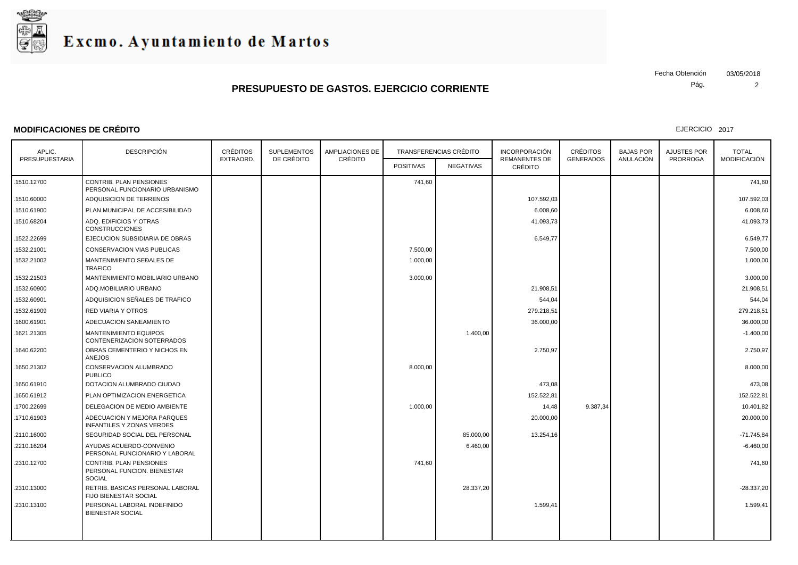

### **MODIFICACIONES DE CRÉDITO**

Pág. Fecha Obtención 03/05/2018

2

| APLIC.         | <b>DESCRIPCIÓN</b>                                                      | <b>CRÉDITOS</b><br><b>SUPLEMENTOS</b> |            | <b>AMPLIACIONES DE</b> | TRANSFERENCIAS CRÉDITO |           | <b>INCORPORACIÓN</b> | <b>CRÉDITOS</b>  |                               |                                       |                                     |
|----------------|-------------------------------------------------------------------------|---------------------------------------|------------|------------------------|------------------------|-----------|----------------------|------------------|-------------------------------|---------------------------------------|-------------------------------------|
| PRESUPUESTARIA |                                                                         | EXTRAORD.                             | DE CRÉDITO | CRÉDITO                |                        |           |                      | <b>GENERADOS</b> | <b>BAJAS POR</b><br>ANULACIÓN | <b>AJUSTES POR</b><br><b>PRORROGA</b> | <b>TOTAL</b><br><b>MODIFICACIÓN</b> |
|                |                                                                         |                                       |            |                        | <b>POSITIVAS</b>       | NEGATIVAS | <b>CRÉDITO</b>       |                  |                               |                                       |                                     |
| 1510.12700     | CONTRIB. PLAN PENSIONES<br>PERSONAL FUNCIONARIO URBANISMO               |                                       |            |                        | 741,60                 |           |                      |                  |                               |                                       | 741,60                              |
| 1510.60000     | ADQUISICION DE TERRENOS                                                 |                                       |            |                        |                        |           | 107.592,03           |                  |                               |                                       | 107.592,03                          |
| 1510.61900     | PLAN MUNICIPAL DE ACCESIBILIDAD                                         |                                       |            |                        |                        |           | 6.008,60             |                  |                               |                                       | 6.008,60                            |
| 1510.68204     | ADQ. EDIFICIOS Y OTRAS<br><b>CONSTRUCCIONES</b>                         |                                       |            |                        |                        |           | 41.093,73            |                  |                               |                                       | 41.093,73                           |
| 1522.22699     | EJECUCION SUBSIDIARIA DE OBRAS                                          |                                       |            |                        |                        |           | 6.549,77             |                  |                               |                                       | 6.549,77                            |
| 1532.21001     | <b>CONSERVACION VIAS PUBLICAS</b>                                       |                                       |            |                        | 7.500,00               |           |                      |                  |                               |                                       | 7.500,00                            |
| .1532.21002    | MANTENIMIENTO SEĐALES DE<br><b>TRAFICO</b>                              |                                       |            |                        | 1.000,00               |           |                      |                  |                               |                                       | 1.000,00                            |
| .1532.21503    | MANTENIMIENTO MOBILIARIO URBANO                                         |                                       |            |                        | 3.000,00               |           |                      |                  |                               |                                       | 3.000,00                            |
| 1532.60900     | ADQ.MOBILIARIO URBANO                                                   |                                       |            |                        |                        |           | 21.908,51            |                  |                               |                                       | 21.908,51                           |
| 1532.60901     | ADQUISICION SEÑALES DE TRAFICO                                          |                                       |            |                        |                        |           | 544,04               |                  |                               |                                       | 544,04                              |
| 1532.61909     | <b>RED VIARIA Y OTROS</b>                                               |                                       |            |                        |                        |           | 279.218,51           |                  |                               |                                       | 279.218,51                          |
| .1600.61901    | ADECUACION SANEAMIENTO                                                  |                                       |            |                        |                        |           | 36.000,00            |                  |                               |                                       | 36.000,00                           |
| 1621.21305     | <b>MANTENIMIENTO EQUIPOS</b><br>CONTENERIZACION SOTERRADOS              |                                       |            |                        |                        | 1.400,00  |                      |                  |                               |                                       | $-1.400,00$                         |
| 1640.62200     | OBRAS CEMENTERIO Y NICHOS EN<br>ANEJOS                                  |                                       |            |                        |                        |           | 2.750,97             |                  |                               |                                       | 2.750,97                            |
| .1650.21302    | CONSERVACION ALUMBRADO<br><b>PUBLICO</b>                                |                                       |            |                        | 8.000,00               |           |                      |                  |                               |                                       | 8.000,00                            |
| .1650.61910    | DOTACION ALUMBRADO CIUDAD                                               |                                       |            |                        |                        |           | 473,08               |                  |                               |                                       | 473,08                              |
| .1650.61912    | PLAN OPTIMIZACION ENERGETICA                                            |                                       |            |                        |                        |           | 152.522,81           |                  |                               |                                       | 152.522,81                          |
| .1700.22699    | DELEGACION DE MEDIO AMBIENTE                                            |                                       |            |                        | 1.000,00               |           | 14,48                | 9.387,34         |                               |                                       | 10.401,82                           |
| .1710.61903    | ADECUACION Y MEJORA PARQUES<br><b>INFANTILES Y ZONAS VERDES</b>         |                                       |            |                        |                        |           | 20.000,00            |                  |                               |                                       | 20.000,00                           |
| .2110.16000    | SEGURIDAD SOCIAL DEL PERSONAL                                           |                                       |            |                        |                        | 85.000,00 | 13.254,16            |                  |                               |                                       | $-71.745.84$                        |
| .2210.16204    | AYUDAS ACUERDO-CONVENIO<br>PERSONAL FUNCIONARIO Y LABORAL               |                                       |            |                        |                        | 6.460,00  |                      |                  |                               |                                       | $-6.460,00$                         |
| .2310.12700    | CONTRIB. PLAN PENSIONES<br>PERSONAL FUNCION. BIENESTAR<br><b>SOCIAL</b> |                                       |            |                        | 741,60                 |           |                      |                  |                               |                                       | 741,60                              |
| .2310.13000    | RETRIB. BASICAS PERSONAL LABORAL<br>FIJO BIENESTAR SOCIAL               |                                       |            |                        |                        | 28.337,20 |                      |                  |                               |                                       | $-28.337,20$                        |
| .2310.13100    | PERSONAL LABORAL INDEFINIDO<br><b>BIENESTAR SOCIAL</b>                  |                                       |            |                        |                        |           | 1.599,41             |                  |                               |                                       | 1.599,41                            |
|                |                                                                         |                                       |            |                        |                        |           |                      |                  |                               |                                       |                                     |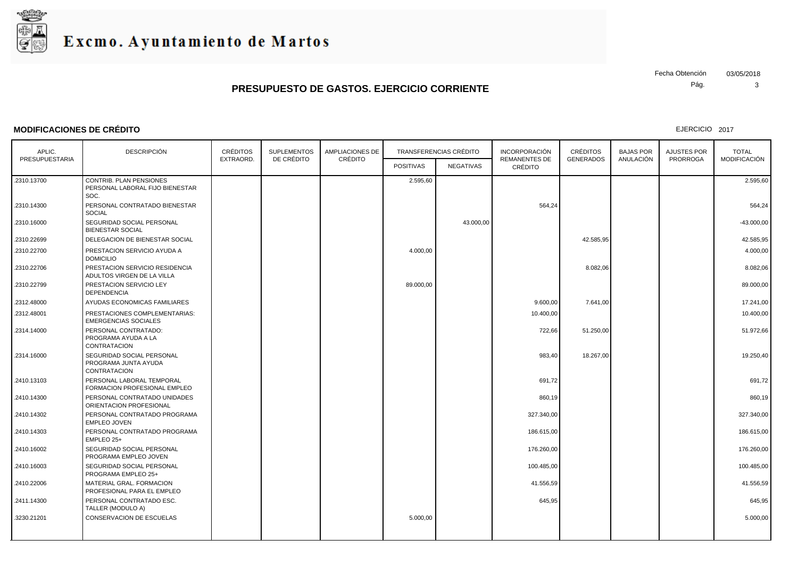

### **MODIFICACIONES DE CRÉDITO**

Pág. Fecha Obtención 03/05/2018

3

| <b>DESCRIPCIÓN</b><br>CRÉDITOS<br><b>SUPLEMENTOS</b><br><b>AMPLIACIONES DE</b><br><b>TRANSFERENCIAS CRÉDITO</b><br><b>INCORPORACIÓN</b><br><b>CRÉDITOS</b><br><b>BAJAS POR</b><br>AJUSTES POR<br>APLIC.<br>DE CRÉDITO<br>CRÉDITO<br>ANULACIÓN<br>PRESUPUESTARIA<br>EXTRAORD.<br><b>REMANENTES DE</b><br><b>GENERADOS</b><br><b>PRORROGA</b><br><b>POSITIVAS</b><br><b>NEGATIVAS</b><br>CRÉDITO<br>CONTRIB. PLAN PENSIONES<br>.2310.13700<br>2.595,60<br>PERSONAL LABORAL FIJO BIENESTAR<br>SOC.<br>PERSONAL CONTRATADO BIENESTAR<br>564,24<br>.2310.14300<br><b>SOCIAL</b><br>SEGURIDAD SOCIAL PERSONAL<br>43.000,00<br>.2310.16000<br><b>BIENESTAR SOCIAL</b><br>42.585,95<br>.2310.22699<br>DELEGACION DE BIENESTAR SOCIAL<br>.2310.22700<br>PRESTACION SERVICIO AYUDA A<br>4.000,00<br><b>DOMICILIO</b><br>PRESTACION SERVICIO RESIDENCIA<br>8.082,06<br>.2310.22706<br>ADULTOS VIRGEN DE LA VILLA<br>PRESTACION SERVICIO LEY<br>89.000,00<br>.2310.22799<br><b>DEPENDENCIA</b><br>AYUDAS ECONOMICAS FAMILIARES<br>9.600,00<br>7.641,00<br>.2312.48000<br>.2312.48001<br>PRESTACIONES COMPLEMENTARIAS:<br>10.400,00<br><b>EMERGENCIAS SOCIALES</b><br>PERSONAL CONTRATADO:<br>.2314.14000<br>722,66<br>51.250,00<br>PROGRAMA AYUDA A LA<br>CONTRATACION<br>.2314.16000<br>SEGURIDAD SOCIAL PERSONAL<br>983,40<br>18.267,00<br>PROGRAMA JUNTA AYUDA<br><b>CONTRATACION</b><br>PERSONAL LABORAL TEMPORAL<br>691,72<br>.2410.13103<br>FORMACION PROFESIONAL EMPLEO<br>PERSONAL CONTRATADO UNIDADES<br>860,19<br>.2410.14300<br>ORIENTACION PROFESIONAL |                                     |
|--------------------------------------------------------------------------------------------------------------------------------------------------------------------------------------------------------------------------------------------------------------------------------------------------------------------------------------------------------------------------------------------------------------------------------------------------------------------------------------------------------------------------------------------------------------------------------------------------------------------------------------------------------------------------------------------------------------------------------------------------------------------------------------------------------------------------------------------------------------------------------------------------------------------------------------------------------------------------------------------------------------------------------------------------------------------------------------------------------------------------------------------------------------------------------------------------------------------------------------------------------------------------------------------------------------------------------------------------------------------------------------------------------------------------------------------------------------------------------------------------------------------------------------------------------|-------------------------------------|
|                                                                                                                                                                                                                                                                                                                                                                                                                                                                                                                                                                                                                                                                                                                                                                                                                                                                                                                                                                                                                                                                                                                                                                                                                                                                                                                                                                                                                                                                                                                                                        | <b>TOTAL</b><br><b>MODIFICACIÓN</b> |
|                                                                                                                                                                                                                                                                                                                                                                                                                                                                                                                                                                                                                                                                                                                                                                                                                                                                                                                                                                                                                                                                                                                                                                                                                                                                                                                                                                                                                                                                                                                                                        |                                     |
|                                                                                                                                                                                                                                                                                                                                                                                                                                                                                                                                                                                                                                                                                                                                                                                                                                                                                                                                                                                                                                                                                                                                                                                                                                                                                                                                                                                                                                                                                                                                                        | 2.595,60                            |
|                                                                                                                                                                                                                                                                                                                                                                                                                                                                                                                                                                                                                                                                                                                                                                                                                                                                                                                                                                                                                                                                                                                                                                                                                                                                                                                                                                                                                                                                                                                                                        | 564,24                              |
|                                                                                                                                                                                                                                                                                                                                                                                                                                                                                                                                                                                                                                                                                                                                                                                                                                                                                                                                                                                                                                                                                                                                                                                                                                                                                                                                                                                                                                                                                                                                                        | $-43.000,00$                        |
|                                                                                                                                                                                                                                                                                                                                                                                                                                                                                                                                                                                                                                                                                                                                                                                                                                                                                                                                                                                                                                                                                                                                                                                                                                                                                                                                                                                                                                                                                                                                                        | 42.585,95                           |
|                                                                                                                                                                                                                                                                                                                                                                                                                                                                                                                                                                                                                                                                                                                                                                                                                                                                                                                                                                                                                                                                                                                                                                                                                                                                                                                                                                                                                                                                                                                                                        | 4.000,00                            |
|                                                                                                                                                                                                                                                                                                                                                                                                                                                                                                                                                                                                                                                                                                                                                                                                                                                                                                                                                                                                                                                                                                                                                                                                                                                                                                                                                                                                                                                                                                                                                        | 8.082,06                            |
|                                                                                                                                                                                                                                                                                                                                                                                                                                                                                                                                                                                                                                                                                                                                                                                                                                                                                                                                                                                                                                                                                                                                                                                                                                                                                                                                                                                                                                                                                                                                                        | 89.000,00                           |
|                                                                                                                                                                                                                                                                                                                                                                                                                                                                                                                                                                                                                                                                                                                                                                                                                                                                                                                                                                                                                                                                                                                                                                                                                                                                                                                                                                                                                                                                                                                                                        | 17.241,00                           |
|                                                                                                                                                                                                                                                                                                                                                                                                                                                                                                                                                                                                                                                                                                                                                                                                                                                                                                                                                                                                                                                                                                                                                                                                                                                                                                                                                                                                                                                                                                                                                        | 10.400,00                           |
|                                                                                                                                                                                                                                                                                                                                                                                                                                                                                                                                                                                                                                                                                                                                                                                                                                                                                                                                                                                                                                                                                                                                                                                                                                                                                                                                                                                                                                                                                                                                                        | 51.972,66                           |
|                                                                                                                                                                                                                                                                                                                                                                                                                                                                                                                                                                                                                                                                                                                                                                                                                                                                                                                                                                                                                                                                                                                                                                                                                                                                                                                                                                                                                                                                                                                                                        | 19.250,40                           |
|                                                                                                                                                                                                                                                                                                                                                                                                                                                                                                                                                                                                                                                                                                                                                                                                                                                                                                                                                                                                                                                                                                                                                                                                                                                                                                                                                                                                                                                                                                                                                        | 691,72                              |
|                                                                                                                                                                                                                                                                                                                                                                                                                                                                                                                                                                                                                                                                                                                                                                                                                                                                                                                                                                                                                                                                                                                                                                                                                                                                                                                                                                                                                                                                                                                                                        | 860,19                              |
| .2410.14302<br>PERSONAL CONTRATADO PROGRAMA<br>327.340,00<br><b>EMPLEO JOVEN</b>                                                                                                                                                                                                                                                                                                                                                                                                                                                                                                                                                                                                                                                                                                                                                                                                                                                                                                                                                                                                                                                                                                                                                                                                                                                                                                                                                                                                                                                                       | 327.340,00                          |
| PERSONAL CONTRATADO PROGRAMA<br>.2410.14303<br>186.615,00<br>EMPLEO 25+                                                                                                                                                                                                                                                                                                                                                                                                                                                                                                                                                                                                                                                                                                                                                                                                                                                                                                                                                                                                                                                                                                                                                                                                                                                                                                                                                                                                                                                                                | 186.615,00                          |
| SEGURIDAD SOCIAL PERSONAL<br>176.260,00<br>.2410.16002<br>PROGRAMA EMPLEO JOVEN                                                                                                                                                                                                                                                                                                                                                                                                                                                                                                                                                                                                                                                                                                                                                                                                                                                                                                                                                                                                                                                                                                                                                                                                                                                                                                                                                                                                                                                                        | 176.260,00                          |
| SEGURIDAD SOCIAL PERSONAL<br>100.485,00<br>.2410.16003<br>PROGRAMA EMPLEO 25+                                                                                                                                                                                                                                                                                                                                                                                                                                                                                                                                                                                                                                                                                                                                                                                                                                                                                                                                                                                                                                                                                                                                                                                                                                                                                                                                                                                                                                                                          | 100.485,00                          |
| .2410.22006<br>MATERIAL GRAL. FORMACION<br>41.556,59<br>PROFESIONAL PARA EL EMPLEO                                                                                                                                                                                                                                                                                                                                                                                                                                                                                                                                                                                                                                                                                                                                                                                                                                                                                                                                                                                                                                                                                                                                                                                                                                                                                                                                                                                                                                                                     | 41.556,59                           |
| PERSONAL CONTRATADO ESC.<br>645,95<br>.2411.14300<br>TALLER (MODULO A)                                                                                                                                                                                                                                                                                                                                                                                                                                                                                                                                                                                                                                                                                                                                                                                                                                                                                                                                                                                                                                                                                                                                                                                                                                                                                                                                                                                                                                                                                 | 645,95                              |
| CONSERVACION DE ESCUELAS<br>.3230.21201<br>5.000,00                                                                                                                                                                                                                                                                                                                                                                                                                                                                                                                                                                                                                                                                                                                                                                                                                                                                                                                                                                                                                                                                                                                                                                                                                                                                                                                                                                                                                                                                                                    | 5.000,00                            |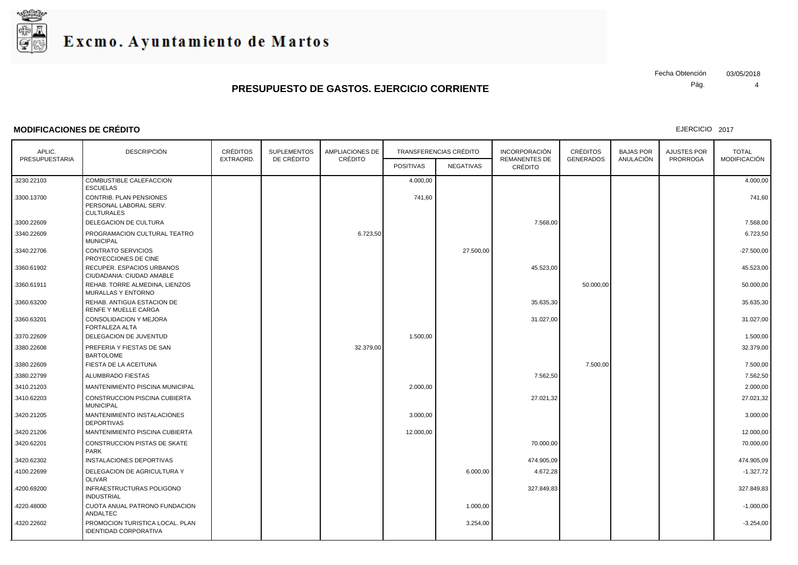

### **MODIFICACIONES DE CRÉDITO**

Pág. Fecha Obtención 03/05/2018

EJERCICIO 2017

4

| APLIC.         | <b>DESCRIPCIÓN</b>                                                     | CRÉDITOS  | <b>SUPLEMENTOS</b> | AMPLIACIONES DE<br>CRÉDITO | <b>TRANSFERENCIAS CRÉDITO</b> |           | <b>INCORPORACIÓN</b><br><b>REMANENTES DE</b> | <b>CRÉDITOS</b>  | <b>BAJAS POR</b> | AJUSTES POR     | <b>TOTAL</b> |
|----------------|------------------------------------------------------------------------|-----------|--------------------|----------------------------|-------------------------------|-----------|----------------------------------------------|------------------|------------------|-----------------|--------------|
| PRESUPUESTARIA |                                                                        | EXTRAORD. | DE CRÉDITO         |                            | <b>POSITIVAS</b>              | NEGATIVAS | <b>CRÉDITO</b>                               | <b>GENERADOS</b> | ANULACIÓN        | <b>PRORROGA</b> | MODIFICACIÓN |
| .3230.22103    | COMBUSTIBLE CALEFACCION<br><b>ESCUELAS</b>                             |           |                    |                            | 4.000,00                      |           |                                              |                  |                  |                 | 4.000,00     |
| .3300.13700    | CONTRIB. PLAN PENSIONES<br>PERSONAL LABORAL SERV.<br><b>CULTURALES</b> |           |                    |                            | 741,60                        |           |                                              |                  |                  |                 | 741,60       |
| .3300.22609    | DELEGACION DE CULTURA                                                  |           |                    |                            |                               |           | 7.568,00                                     |                  |                  |                 | 7.568,00     |
| .3340.22609    | PROGRAMACION CULTURAL TEATRO<br><b>MUNICIPAL</b>                       |           |                    | 6.723,50                   |                               |           |                                              |                  |                  |                 | 6.723,50     |
| .3340.22706    | <b>CONTRATO SERVICIOS</b><br>PROYECCIONES DE CINE                      |           |                    |                            |                               | 27.500,00 |                                              |                  |                  |                 | $-27.500,00$ |
| .3360.61902    | RECUPER. ESPACIOS URBANOS<br>CIUDADANIA: CIUDAD AMABLE                 |           |                    |                            |                               |           | 45.523,00                                    |                  |                  |                 | 45.523,00    |
| .3360.61911    | REHAB. TORRE ALMEDINA, LIENZOS<br>MURALLAS Y ENTORNO                   |           |                    |                            |                               |           |                                              | 50.000,00        |                  |                 | 50.000,00    |
| .3360.63200    | REHAB. ANTIGUA ESTACION DE<br>RENFE Y MUELLE CARGA                     |           |                    |                            |                               |           | 35.635,30                                    |                  |                  |                 | 35.635,30    |
| .3360.63201    | CONSOLIDACION Y MEJORA<br>FORTALEZA ALTA                               |           |                    |                            |                               |           | 31.027,00                                    |                  |                  |                 | 31.027,00    |
| .3370.22609    | DELEGACION DE JUVENTUD                                                 |           |                    |                            | 1.500,00                      |           |                                              |                  |                  |                 | 1.500,00     |
| .3380.22608    | PREFERIA Y FIESTAS DE SAN<br><b>BARTOLOME</b>                          |           |                    | 32.379,00                  |                               |           |                                              |                  |                  |                 | 32.379,00    |
| .3380.22609    | FIESTA DE LA ACEITUNA                                                  |           |                    |                            |                               |           |                                              | 7.500,00         |                  |                 | 7.500,00     |
| .3380.22799    | ALUMBRADO FIESTAS                                                      |           |                    |                            |                               |           | 7.562,50                                     |                  |                  |                 | 7.562,50     |
| .3410.21203    | MANTENIMIENTO PISCINA MUNICIPAL                                        |           |                    |                            | 2.000,00                      |           |                                              |                  |                  |                 | 2.000,00     |
| .3410.62203    | CONSTRUCCION PISCINA CUBIERTA<br><b>MUNICIPAL</b>                      |           |                    |                            |                               |           | 27.021,32                                    |                  |                  |                 | 27.021,32    |
| .3420.21205    | MANTENIMIENTO INSTALACIONES<br><b>DEPORTIVAS</b>                       |           |                    |                            | 3.000.00                      |           |                                              |                  |                  |                 | 3.000,00     |
| .3420.21206    | MANTENIMIENTO PISCINA CUBIERTA                                         |           |                    |                            | 12.000,00                     |           |                                              |                  |                  |                 | 12.000,00    |
| .3420.62201    | CONSTRUCCION PISTAS DE SKATE<br><b>PARK</b>                            |           |                    |                            |                               |           | 70.000,00                                    |                  |                  |                 | 70.000,00    |
| .3420.62302    | INSTALACIONES DEPORTIVAS                                               |           |                    |                            |                               |           | 474.905,09                                   |                  |                  |                 | 474.905,09   |
| .4100.22699    | DELEGACION DE AGRICULTURA Y<br><b>OLIVAR</b>                           |           |                    |                            |                               | 6.000,00  | 4.672,28                                     |                  |                  |                 | $-1.327,72$  |
| 4200.69200     | INFRAESTRUCTURAS POLIGONO<br><b>INDUSTRIAL</b>                         |           |                    |                            |                               |           | 327.849,83                                   |                  |                  |                 | 327.849,83   |
| .4220.48000    | CUOTA ANUAL PATRONO FUNDACION<br>ANDALTEC                              |           |                    |                            |                               | 1.000,00  |                                              |                  |                  |                 | $-1.000,00$  |
| 4320.22602     | PROMOCION TURISTICA LOCAL. PLAN<br><b>IDENTIDAD CORPORATIVA</b>        |           |                    |                            |                               | 3.254,00  |                                              |                  |                  |                 | $-3.254,00$  |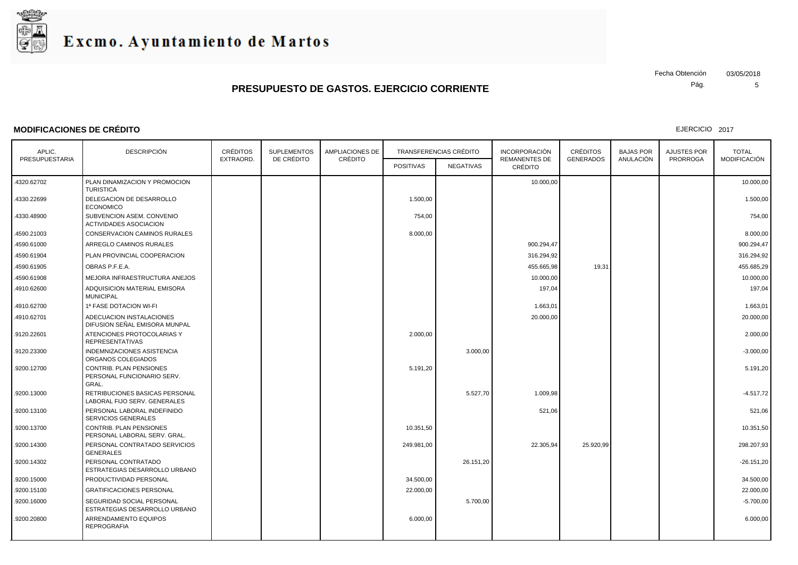

### **MODIFICACIONES DE CRÉDITO**

Pág. Fecha Obtención 03/05/2018

5

| APLIC.<br>PRESUPUESTARIA | <b>DESCRIPCIÓN</b>                                                    | <b>CRÉDITOS</b><br><b>SUPLEMENTOS</b><br><b>AMPLIACIONES DE</b><br>DE CRÉDITO<br>CRÉDITO<br>EXTRAORD. |  | TRANSFERENCIAS CRÉDITO |                  | <b>INCORPORACIÓN</b><br><b>REMANENTES DE</b> | <b>CRÉDITOS</b><br><b>GENERADOS</b> | <b>BAJAS POR</b><br>ANULACIÓN | <b>AJUSTES POR</b><br><b>PRORROGA</b> | <b>TOTAL</b><br>MODIFICACIÓN |              |
|--------------------------|-----------------------------------------------------------------------|-------------------------------------------------------------------------------------------------------|--|------------------------|------------------|----------------------------------------------|-------------------------------------|-------------------------------|---------------------------------------|------------------------------|--------------|
|                          |                                                                       |                                                                                                       |  |                        | <b>POSITIVAS</b> | NEGATIVAS                                    | CRÉDITO                             |                               |                                       |                              |              |
| 4320.62702               | PLAN DINAMIZACION Y PROMOCION<br><b>TURISTICA</b>                     |                                                                                                       |  |                        |                  |                                              | 10.000,00                           |                               |                                       |                              | 10.000,00    |
| .4330.22699              | DELEGACION DE DESARROLLO<br><b>ECONOMICO</b>                          |                                                                                                       |  |                        | 1.500,00         |                                              |                                     |                               |                                       |                              | 1.500,00     |
| .4330.48900              | SUBVENCION ASEM. CONVENIO<br><b>ACTIVIDADES ASOCIACION</b>            |                                                                                                       |  |                        | 754,00           |                                              |                                     |                               |                                       |                              | 754,00       |
| .4590.21003              | CONSERVACION CAMINOS RURALES                                          |                                                                                                       |  |                        | 8.000,00         |                                              |                                     |                               |                                       |                              | 8.000,00     |
| .4590.61000              | ARREGLO CAMINOS RURALES                                               |                                                                                                       |  |                        |                  |                                              | 900.294,47                          |                               |                                       |                              | 900.294,47   |
| .4590.61904              | PLAN PROVINCIAL COOPERACION                                           |                                                                                                       |  |                        |                  |                                              | 316.294,92                          |                               |                                       |                              | 316.294,92   |
| .4590.61905              | OBRAS P.F.E.A.                                                        |                                                                                                       |  |                        |                  |                                              | 455.665,98                          | 19,31                         |                                       |                              | 455.685,29   |
| .4590.61908              | MEJORA INFRAESTRUCTURA ANEJOS                                         |                                                                                                       |  |                        |                  |                                              | 10.000,00                           |                               |                                       |                              | 10.000,00    |
| .4910.62600              | ADQUISICION MATERIAL EMISORA<br><b>MUNICIPAL</b>                      |                                                                                                       |  |                        |                  |                                              | 197,04                              |                               |                                       |                              | 197,04       |
| .4910.62700              | 1ª FASE DOTACION WI-FI                                                |                                                                                                       |  |                        |                  |                                              | 1.663,01                            |                               |                                       |                              | 1.663,01     |
| .4910.62701              | ADECUACION INSTALACIONES<br>DIFUSION SEÑAL EMISORA MUNPAL             |                                                                                                       |  |                        |                  |                                              | 20.000,00                           |                               |                                       |                              | 20.000,00    |
| .9120.22601              | ATENCIONES PROTOCOLARIAS Y<br><b>REPRESENTATIVAS</b>                  |                                                                                                       |  |                        | 2.000,00         |                                              |                                     |                               |                                       |                              | 2.000,00     |
| .9120.23300              | <b>INDEMNIZACIONES ASISTENCIA</b><br>ORGANOS COLEGIADOS               |                                                                                                       |  |                        |                  | 3.000,00                                     |                                     |                               |                                       |                              | $-3.000,00$  |
| .9200.12700              | <b>CONTRIB. PLAN PENSIONES</b><br>PERSONAL FUNCIONARIO SERV.<br>GRAL. |                                                                                                       |  |                        | 5.191,20         |                                              |                                     |                               |                                       |                              | 5.191,20     |
| .9200.13000              | RETRIBUCIONES BASICAS PERSONAL<br>LABORAL FIJO SERV. GENERALES        |                                                                                                       |  |                        |                  | 5.527,70                                     | 1.009,98                            |                               |                                       |                              | $-4.517,72$  |
| .9200.13100              | PERSONAL LABORAL INDEFINIDO<br><b>SERVICIOS GENERALES</b>             |                                                                                                       |  |                        |                  |                                              | 521,06                              |                               |                                       |                              | 521,06       |
| .9200.13700              | <b>CONTRIB. PLAN PENSIONES</b><br>PERSONAL LABORAL SERV. GRAL.        |                                                                                                       |  |                        | 10.351,50        |                                              |                                     |                               |                                       |                              | 10.351,50    |
| .9200.14300              | PERSONAL CONTRATADO SERVICIOS<br><b>GENERALES</b>                     |                                                                                                       |  |                        | 249.981,00       |                                              | 22.305,94                           | 25.920,99                     |                                       |                              | 298.207,93   |
| .9200.14302              | PERSONAL CONTRATADO<br>ESTRATEGIAS DESARROLLO URBANO                  |                                                                                                       |  |                        |                  | 26.151,20                                    |                                     |                               |                                       |                              | $-26.151,20$ |
| .9200.15000              | PRODUCTIVIDAD PERSONAL                                                |                                                                                                       |  |                        | 34.500,00        |                                              |                                     |                               |                                       |                              | 34.500,00    |
| .9200.15100              | <b>GRATIFICACIONES PERSONAL</b>                                       |                                                                                                       |  |                        | 22.000,00        |                                              |                                     |                               |                                       |                              | 22.000,00    |
| .9200.16000              | SEGURIDAD SOCIAL PERSONAL<br>ESTRATEGIAS DESARROLLO URBANO            |                                                                                                       |  |                        |                  | 5.700,00                                     |                                     |                               |                                       |                              | $-5.700,00$  |
| .9200.20800              | ARRENDAMIENTO EQUIPOS<br><b>REPROGRAFIA</b>                           |                                                                                                       |  |                        | 6.000,00         |                                              |                                     |                               |                                       |                              | 6.000,00     |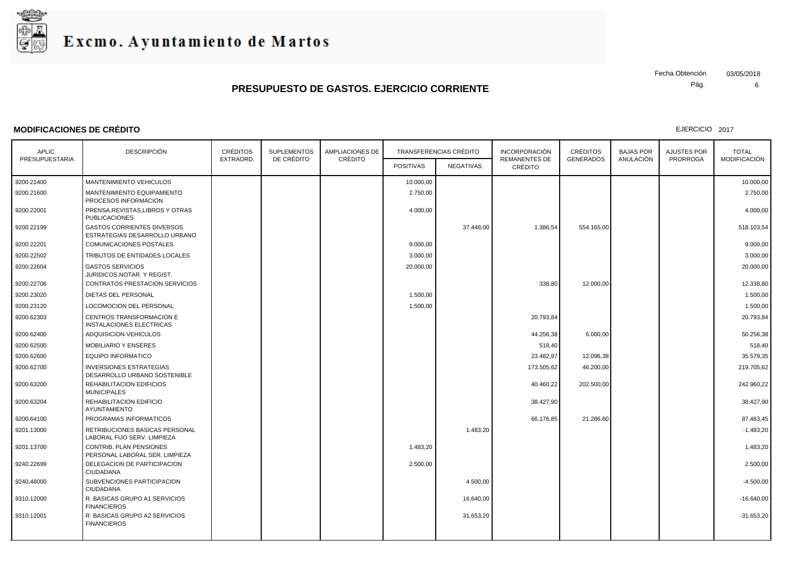

### **MODIFICACIONES DE CRÉDITO**

Pág. Fecha Obtención 03/05/2018

6

| APLIC.         | <b>DESCRIPCIÓN</b>                                                 | <b>CRÉDITOS</b><br><b>SUPLEMENTOS</b> |            | <b>AMPLIACIONES DE</b> | <b>TRANSFERENCIAS CRÉDITO</b> |           | <b>INCORPORACIÓN</b>                   | <b>CRÉDITOS</b>  | <b>BAJAS POR</b> | <b>AJUSTES POR</b> | <b>TOTAL</b>        |
|----------------|--------------------------------------------------------------------|---------------------------------------|------------|------------------------|-------------------------------|-----------|----------------------------------------|------------------|------------------|--------------------|---------------------|
| PRESUPUESTARIA |                                                                    | EXTRAORD.                             | DE CRÉDITO | CRÉDITO                | <b>POSITIVAS</b>              | NEGATIVAS | <b>REMANENTES DE</b><br><b>CRÉDITO</b> | <b>GENERADOS</b> | ANULACIÓN        | <b>PRORROGA</b>    | <b>MODIFICACIÓN</b> |
| .9200.21400    | MANTENIMIENTO VEHICULOS                                            |                                       |            |                        | 10.000,00                     |           |                                        |                  |                  |                    | 10.000,00           |
| .9200.21600    | MANTENIMIENTO EQUIPAMIENTO<br>PROCESOS INFORMACION                 |                                       |            |                        | 2.750,00                      |           |                                        |                  |                  |                    | 2.750,00            |
| .9200.22001    | PRENSA, REVISTAS, LIBROS Y OTRAS<br><b>PUBLICACIONES</b>           |                                       |            |                        | 4.000,00                      |           |                                        |                  |                  |                    | 4.000,00            |
| .9200.22199    | <b>GASTOS CORRIENTES DIVERSOS</b><br>ESTRATEGIAS DESARROLLO URBANO |                                       |            |                        |                               | 37,448.00 | 1.386,54                               | 554.165,00       |                  |                    | 518.103,54          |
| 9200.22201     | <b>COMUNICACIONES POSTALES</b>                                     |                                       |            |                        | 9.000.00                      |           |                                        |                  |                  |                    | 9.000.00            |
| 9200.22502     | TRIBUTOS DE ENTIDADES LOCALES                                      |                                       |            |                        | 3.000,00                      |           |                                        |                  |                  |                    | 3.000,00            |
| .9200.22604    | <b>GASTOS SERVICIOS</b><br>JURIDICOS,NOTAR. Y REGIST.              |                                       |            |                        | 20.000,00                     |           |                                        |                  |                  |                    | 20.000,00           |
| .9200.22706    | <b>CONTRATOS PRESTACION SERVICIOS</b>                              |                                       |            |                        |                               |           | 338.80                                 | 12.000,00        |                  |                    | 12.338.80           |
| .9200.23020    | DIETAS DEL PERSONAL                                                |                                       |            |                        | 1.500,00                      |           |                                        |                  |                  |                    | 1.500,00            |
| .9200.23120    | <b>LOCOMOCION DEL PERSONAL</b>                                     |                                       |            |                        | 1.500,00                      |           |                                        |                  |                  |                    | 1.500,00            |
| .9200.62303    | CENTROS TRANSFORMACION E<br>INSTALACIONES ELECTRICAS               |                                       |            |                        |                               |           | 20.793,84                              |                  |                  |                    | 20.793,84           |
| .9200.62400    | <b>ADQUISICION VEHICULOS</b>                                       |                                       |            |                        |                               |           | 44.256,38                              | 6.000,00         |                  |                    | 50.256,38           |
| 9200.62500     | MOBILIARIO Y ENSERES                                               |                                       |            |                        |                               |           | 518,40                                 |                  |                  |                    | 518,40              |
| .9200.62600    | <b>EQUIPO INFORMATICO</b>                                          |                                       |            |                        |                               |           | 23.482,97                              | 12.096,38        |                  |                    | 35.579,35           |
| .9200.62700    | <b>INVERSIONES ESTRATEGIAS</b><br>DESARROLLO URBANO SOSTENIBLE     |                                       |            |                        |                               |           | 173.505,62                             | 46.200,00        |                  |                    | 219.705,62          |
| .9200.63200    | REHABILITACION EDIFICIOS<br><b>MUNICIPALES</b>                     |                                       |            |                        |                               |           | 40.460,22                              | 202.500,00       |                  |                    | 242.960,22          |
| .9200.63204    | REHABILITACION EDIFICIO<br>AYUNTAMIENTO                            |                                       |            |                        |                               |           | 38.427,90                              |                  |                  |                    | 38.427,90           |
| .9200.64100    | PROGRAMAS INFORMATICOS                                             |                                       |            |                        |                               |           | 66.176,85                              | 21.286,60        |                  |                    | 87.463,45           |
| .9201.13000    | RETRIBUCIONES BASICAS PERSONAL<br>LABORAL FIJO SERV. LIMPIEZA      |                                       |            |                        |                               | 1.483,20  |                                        |                  |                  |                    | $-1.483,20$         |
| .9201.13700    | <b>CONTRIB. PLAN PENSIONES</b><br>PERSONAL LABORAL SER. LIMPIEZA   |                                       |            |                        | 1.483,20                      |           |                                        |                  |                  |                    | 1.483,20            |
| .9240.22699    | DELEGACION DE PARTICIPACION<br><b>CIUDADANA</b>                    |                                       |            |                        | 2.500,00                      |           |                                        |                  |                  |                    | 2.500,00            |
| .9240.48000    | SUBVENCIONES PARTICIPACION<br><b>CIUDADANA</b>                     |                                       |            |                        |                               | 4.500,00  |                                        |                  |                  |                    | $-4.500,00$         |
| .9310.12000    | R. BASICAS GRUPO A1 SERVICIOS<br><b>FINANCIEROS</b>                |                                       |            |                        |                               | 16.640,00 |                                        |                  |                  |                    | $-16.640,00$        |
| .9310.12001    | R. BASICAS GRUPO A2 SERVICIOS<br><b>FINANCIEROS</b>                |                                       |            |                        |                               | 31.653,20 |                                        |                  |                  |                    | $-31.653,20$        |
|                |                                                                    |                                       |            |                        |                               |           |                                        |                  |                  |                    |                     |